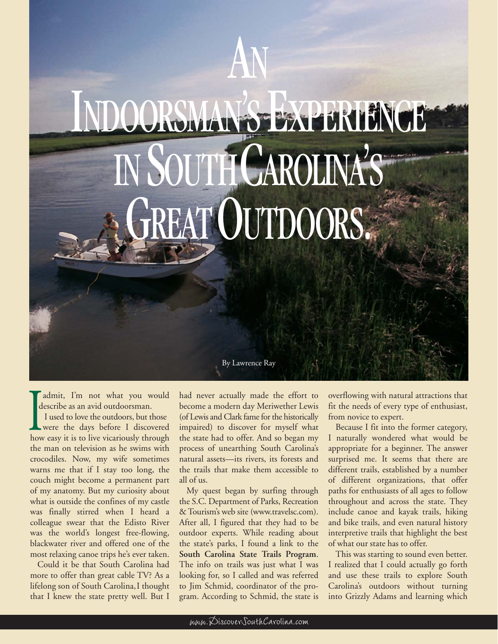## AN IDOORSMAN'SEXPERIENCE IN SOUTH CAROLINA'S FREAT OUTDOORS.

admit, I'm not what you would describe as an avid outdoorsman.

I used to love the outdoors, but those were the days before I discovered how easy it is to live vicariously through the man on television as he swims with crocodiles. Now, my wife sometimes warns me that if I stay too long, the couch might become a permanent part of my anatomy. But my curiosity about what is outside the confines of my castle was finally stirred when I heard a colleague swear that the Edisto River was the world's longest free-flowing, blackwater river and offered one of the most relaxing canoe trips he's ever taken.

Could it be that South Carolina had more to offer than great cable TV? As a lifelong son of South Carolina,I thought that I knew the state pretty well. But I had never actually made the effort to become a modern day Meriwether Lewis (of Lewis and Clark fame for the historically impaired) to discover for myself what the state had to offer. And so began my process of unearthing South Carolina's natural assets—its rivers, its forests and the trails that make them accessible to all of us.

By Lawrence Ray

My quest began by surfing through the S.C. Department of Parks, Recreation & Tourism's web site (www.travelsc.com). After all, I figured that they had to be outdoor experts. While reading about the state's parks, I found a link to the **South Carolina State Trails Program**. The info on trails was just what I was looking for, so I called and was referred to Jim Schmid, coordinator of the program. According to Schmid, the state is

overflowing with natural attractions that fit the needs of every type of enthusiast, from novice to expert.

Because I fit into the former category, I naturally wondered what would be appropriate for a beginner. The answer surprised me. It seems that there are different trails, established by a number of different organizations, that offer paths for enthusiasts of all ages to follow throughout and across the state. They include canoe and kayak trails, hiking and bike trails, and even natural history interpretive trails that highlight the best of what our state has to offer.

This was starting to sound even better. I realized that I could actually go forth and use these trails to explore South Carolina's outdoors without turning into Grizzly Adams and learning which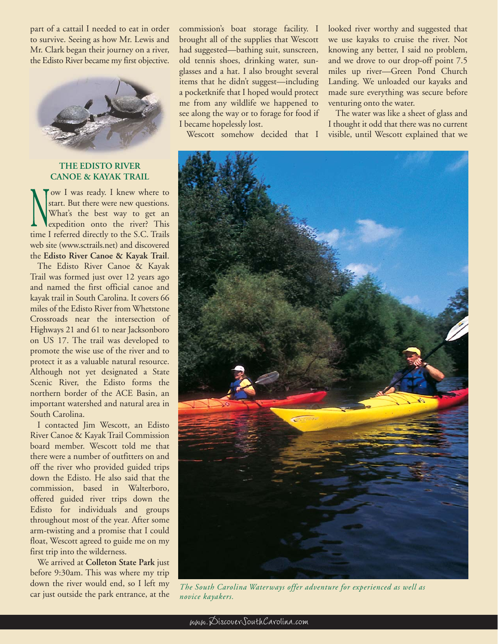part of a cattail I needed to eat in order to survive. Seeing as how Mr. Lewis and Mr. Clark began their journey on a river, the Edisto River became my first objective.



## **THE EDISTO RIVER CANOE & KAYAK TRAIL**

ow I was ready. I knew where to start. But there were new questions. What's the best way to get an expedition onto the river? This time I referred directly to the S.C. Trails web site (www.sctrails.net) and discovered the **Edisto River Canoe & Kayak Trail**.

The Edisto River Canoe & Kayak Trail was formed just over 12 years ago and named the first official canoe and kayak trail in South Carolina. It covers 66 miles of the Edisto River from Whetstone Crossroads near the intersection of Highways 21 and 61 to near Jacksonboro on US 17. The trail was developed to promote the wise use of the river and to protect it as a valuable natural resource. Although not yet designated a State Scenic River, the Edisto forms the northern border of the ACE Basin, an important watershed and natural area in South Carolina.

I contacted Jim Wescott, an Edisto River Canoe & Kayak Trail Commission board member. Wescott told me that there were a number of outfitters on and off the river who provided guided trips down the Edisto. He also said that the commission, based in Walterboro, offered guided river trips down the Edisto for individuals and groups throughout most of the year. After some arm-twisting and a promise that I could float, Wescott agreed to guide me on my first trip into the wilderness.

We arrived at **Colleton State Park** just before 9:30am. This was where my trip down the river would end, so I left my car just outside the park entrance, at the

commission's boat storage facility. I brought all of the supplies that Wescott had suggested—bathing suit, sunscreen, old tennis shoes, drinking water, sunglasses and a hat. I also brought several items that he didn't suggest—including a pocketknife that I hoped would protect me from any wildlife we happened to see along the way or to forage for food if I became hopelessly lost.

Wescott somehow decided that I

looked river worthy and suggested that we use kayaks to cruise the river. Not knowing any better, I said no problem, and we drove to our drop-off point 7.5 miles up river—Green Pond Church Landing. We unloaded our kayaks and made sure everything was secure before venturing onto the water.

The water was like a sheet of glass and I thought it odd that there was no current visible, until Wescott explained that we



*The South Carolina Waterways offer adventure for experienced as well as novice kayakers.*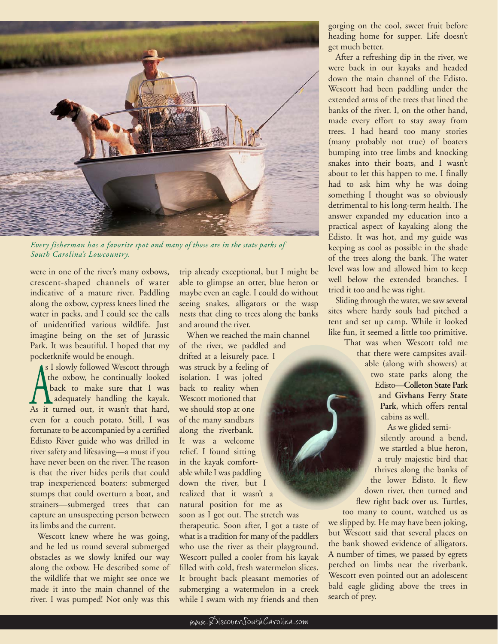

*Every fisherman has a favorite spot and many of those are in the state parks of South Carolina's Lowcountry.*

were in one of the river's many oxbows, crescent-shaped channels of water indicative of a mature river. Paddling along the oxbow, cypress knees lined the water in packs, and I could see the calls of unidentified various wildlife. Just imagine being on the set of Jurassic Park. It was beautiful. I hoped that my pocketknife would be enough.

s I slowly followed Wescott through the oxbow, he continually looked back to make sure that I was adequately handling the kayak. As it turned out, it wasn't that hard, even for a couch potato. Still, I was fortunate to be accompanied by a certified Edisto River guide who was drilled in river safety and lifesaving—a must if you have never been on the river. The reason is that the river hides perils that could trap inexperienced boaters: submerged stumps that could overturn a boat, and strainers—submerged trees that can capture an unsuspecting person between its limbs and the current.

Wescott knew where he was going, and he led us round several submerged obstacles as we slowly knifed our way along the oxbow. He described some of the wildlife that we might see once we made it into the main channel of the river. I was pumped! Not only was this

trip already exceptional, but I might be able to glimpse an otter, blue heron or maybe even an eagle. I could do without seeing snakes, alligators or the wasp nests that cling to trees along the banks and around the river.

When we reached the main channel of the river, we paddled and drifted at a leisurely pace. I was struck by a feeling of isolation. I was jolted back to reality when Wescott motioned that we should stop at one of the many sandbars along the riverbank. It was a welcome relief. I found sitting in the kayak comfortable while I was paddling down the river, but I realized that it wasn't a natural position for me as soon as I got out. The stretch was therapeutic. Soon after, I got a taste of what is a tradition for many of the paddlers who use the river as their playground. Wescott pulled a cooler from his kayak filled with cold, fresh watermelon slices. It brought back pleasant memories of submerging a watermelon in a creek while I swam with my friends and then

gorging on the cool, sweet fruit before heading home for supper. Life doesn't get much better.

After a refreshing dip in the river, we were back in our kayaks and headed down the main channel of the Edisto. Wescott had been paddling under the extended arms of the trees that lined the banks of the river. I, on the other hand, made every effort to stay away from trees. I had heard too many stories (many probably not true) of boaters bumping into tree limbs and knocking snakes into their boats, and I wasn't about to let this happen to me. I finally had to ask him why he was doing something I thought was so obviously detrimental to his long-term health. The answer expanded my education into a practical aspect of kayaking along the Edisto. It was hot, and my guide was keeping as cool as possible in the shade of the trees along the bank. The water level was low and allowed him to keep well below the extended branches. I tried it too and he was right.

Sliding through the water, we saw several sites where hardy souls had pitched a tent and set up camp. While it looked like fun, it seemed a little too primitive.

> That was when Wescott told me that there were campsites available (along with showers) at two state parks along the Edisto—**Colleton State Park** and **Givhans Ferry State Park**, which offers rental cabins as well.

As we glided semisilently around a bend, we startled a blue heron, a truly majestic bird that thrives along the banks of the lower Edisto. It flew down river, then turned and flew right back over us. Turtles,

too many to count, watched us as we slipped by. He may have been joking, but Wescott said that several places on the bank showed evidence of alligators. A number of times, we passed by egrets perched on limbs near the riverbank. Wescott even pointed out an adolescent bald eagle gliding above the trees in search of prey.